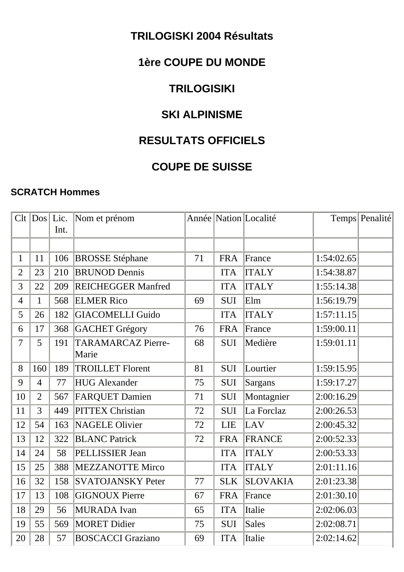# **TRILOGISKI 2004 Résultats**

## **1ère COUPE DU MONDE**

# **TRILOGISIKI**

## **SKI ALPINISME**

# **RESULTATS OFFICIELS**

## **COUPE DE SUISSE**

### **SCRATCH Hommes**

|                |                | $Clt  Dos $ Lic.<br>Int. | Nom et prénom                      |    |            | Année Nation Localité |            | Temps Penalité |
|----------------|----------------|--------------------------|------------------------------------|----|------------|-----------------------|------------|----------------|
|                |                |                          |                                    |    |            |                       |            |                |
| $\mathbf{1}$   | 11             | 106                      | <b>BROSSE</b> Stéphane             | 71 | <b>FRA</b> | France                | 1:54:02.65 |                |
| $\overline{2}$ | 23             | 210                      | <b>BRUNOD Dennis</b>               |    | <b>ITA</b> | <b>ITALY</b>          | 1:54:38.87 |                |
| 3              | 22             | 209                      | <b>REICHEGGER Manfred</b>          |    | <b>ITA</b> | <b>ITALY</b>          | 1:55:14.38 |                |
| $\overline{4}$ | $\mathbf{1}$   | 568                      | <b>ELMER Rico</b>                  | 69 | <b>SUI</b> | Elm                   | 1:56:19.79 |                |
| 5              | 26             | 182                      | <b>GIACOMELLI Guido</b>            |    | <b>ITA</b> | <b>ITALY</b>          | 1:57:11.15 |                |
| 6              | 17             | 368                      | <b>GACHET</b> Grégory              | 76 | <b>FRA</b> | France                | 1:59:00.11 |                |
| 7              | 5              | 191                      | <b>TARAMARCAZ Pierre-</b><br>Marie | 68 | <b>SUI</b> | Medière               | 1:59:01.11 |                |
| 8              | 160            | 189                      | <b>TROILLET Florent</b>            | 81 | <b>SUI</b> | Lourtier              | 1:59:15.95 |                |
| 9              | $\overline{4}$ | 77                       | <b>HUG</b> Alexander               | 75 | <b>SUI</b> | <b>Sargans</b>        | 1:59:17.27 |                |
| 10             | $\overline{2}$ | 567                      | <b>FARQUET Damien</b>              | 71 | <b>SUI</b> | Montagnier            | 2:00:16.29 |                |
| 11             | $\overline{3}$ | 449                      | <b>PITTEX Christian</b>            | 72 | <b>SUI</b> | La Forclaz            | 2:00:26.53 |                |
| 12             | 54             | 163                      | <b>NAGELE Olivier</b>              | 72 | <b>LIE</b> | <b>LAV</b>            | 2:00:45.32 |                |
| 13             | 12             | 322                      | <b>BLANC Patrick</b>               | 72 | <b>FRA</b> | FRANCE                | 2:00:52.33 |                |
| 14             | 24             | 58                       | PELLISSIER Jean                    |    | <b>ITA</b> | <b>ITALY</b>          | 2:00:53.33 |                |
| 15             | 25             | 388                      | <b>MEZZANOTTE Mirco</b>            |    | <b>ITA</b> | <b>ITALY</b>          | 2:01:11.16 |                |
| 16             | 32             | 158                      | <b>SVATOJANSKY Peter</b>           | 77 | <b>SLK</b> | <b>SLOVAKIA</b>       | 2:01:23.38 |                |
| 17             | 13             | 108                      | <b>GIGNOUX Pierre</b>              | 67 | <b>FRA</b> | France                | 2:01:30.10 |                |
| 18             | 29             | 56                       | <b>MURADA</b> Ivan                 | 65 | <b>ITA</b> | Italie                | 2:02:06.03 |                |
| 19             | 55             | 569                      | <b>MORET Didier</b>                | 75 | <b>SUI</b> | <b>Sales</b>          | 2:02:08.71 |                |
| 20             | 28             | 57                       | <b>BOSCACCI Graziano</b>           | 69 | <b>ITA</b> | Italie                | 2:02:14.62 |                |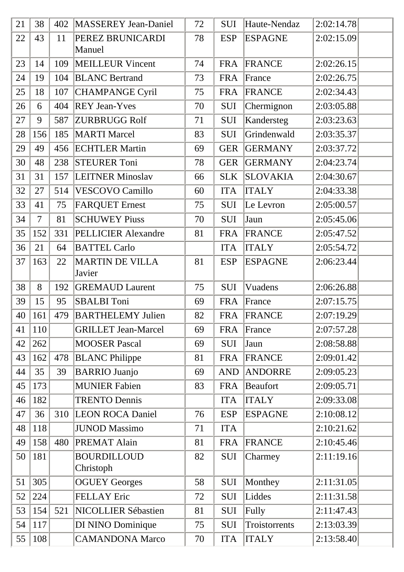| 21 | 38             | 402 | <b>MASSEREY Jean-Daniel</b>      | 72 | SUI        | Haute-Nendaz    | 2:02:14.78 |
|----|----------------|-----|----------------------------------|----|------------|-----------------|------------|
| 22 | 43             | 11  | PEREZ BRUNICARDI<br>Manuel       | 78 | <b>ESP</b> | <b>ESPAGNE</b>  | 2:02:15.09 |
| 23 | 14             | 109 | <b>MEILLEUR Vincent</b>          | 74 | <b>FRA</b> | <b>FRANCE</b>   | 2:02:26.15 |
| 24 | 19             | 104 | <b>BLANC Bertrand</b>            | 73 | <b>FRA</b> | France          | 2:02:26.75 |
| 25 | 18             | 107 | <b>CHAMPANGE Cyril</b>           | 75 | <b>FRA</b> | <b>FRANCE</b>   | 2:02:34.43 |
| 26 | 6              | 404 | <b>REY Jean-Yves</b>             | 70 | SUI        | Chermignon      | 2:03:05.88 |
| 27 | 9              | 587 | <b>ZURBRUGG Rolf</b>             | 71 | SUI        | Kandersteg      | 2:03:23.63 |
| 28 | 156            | 185 | <b>MARTI Marcel</b>              | 83 | <b>SUI</b> | Grindenwald     | 2:03:35.37 |
| 29 | 49             | 456 | <b>ECHTLER Martin</b>            | 69 | <b>GER</b> | <b>GERMANY</b>  | 2:03:37.72 |
| 30 | 48             | 238 | <b>STEURER Toni</b>              | 78 | <b>GER</b> | <b>GERMANY</b>  | 2:04:23.74 |
| 31 | 31             | 157 | <b>LEITNER Minoslav</b>          | 66 | <b>SLK</b> | <b>SLOVAKIA</b> | 2:04:30.67 |
| 32 | 27             | 514 | <b>VESCOVO Camillo</b>           | 60 | <b>ITA</b> | <b>ITALY</b>    | 2:04:33.38 |
| 33 | 41             | 75  | <b>FARQUET Ernest</b>            | 75 | <b>SUI</b> | Le Levron       | 2:05:00.57 |
| 34 | $\overline{7}$ | 81  | <b>SCHUWEY Piuss</b>             | 70 | <b>SUI</b> | Jaun            | 2:05:45.06 |
| 35 | 152            | 331 | <b>PELLICIER Alexandre</b>       | 81 | <b>FRA</b> | <b>FRANCE</b>   | 2:05:47.52 |
| 36 | 21             | 64  | <b>BATTEL Carlo</b>              |    | <b>ITA</b> | <b>ITALY</b>    | 2:05:54.72 |
| 37 | 163            | 22  | <b>MARTIN DE VILLA</b><br>Javier | 81 | <b>ESP</b> | <b>ESPAGNE</b>  | 2:06:23.44 |
| 38 | 8              | 192 | <b>GREMAUD Laurent</b>           | 75 | <b>SUI</b> | Vuadens         | 2:06:26.88 |
| 39 | 15             | 95  | <b>SBALBI</b> Toni               | 69 | <b>FRA</b> | France          | 2:07:15.75 |
| 40 | 161            | 479 | <b>BARTHELEMY Julien</b>         | 82 | <b>FRA</b> | <b>FRANCE</b>   | 2:07:19.29 |
| 41 | 110            |     | <b>GRILLET Jean-Marcel</b>       | 69 | <b>FRA</b> | France          | 2:07:57.28 |
| 42 | 262            |     | <b>MOOSER Pascal</b>             | 69 | <b>SUI</b> | Jaun            | 2:08:58.88 |
| 43 | 162            | 478 | <b>BLANC Philippe</b>            | 81 | <b>FRA</b> | <b>FRANCE</b>   | 2:09:01.42 |
| 44 | 35             | 39  | <b>BARRIO Juanjo</b>             | 69 | <b>AND</b> | <b>ANDORRE</b>  | 2:09:05.23 |
| 45 | 173            |     | <b>MUNIER Fabien</b>             | 83 | <b>FRA</b> | <b>Beaufort</b> | 2:09:05.71 |
| 46 | 182            |     | <b>TRENTO Dennis</b>             |    | <b>ITA</b> | <b>ITALY</b>    | 2:09:33.08 |
| 47 | 36             | 310 | <b>LEON ROCA Daniel</b>          | 76 | <b>ESP</b> | <b>ESPAGNE</b>  | 2:10:08.12 |
| 48 | 118            |     | <b>JUNOD Massimo</b>             | 71 | <b>ITA</b> |                 | 2:10:21.62 |
| 49 | 158            | 480 | PREMAT Alain                     | 81 | <b>FRA</b> | <b>FRANCE</b>   | 2:10:45.46 |
| 50 | 181            |     | <b>BOURDILLOUD</b><br>Christoph  | 82 | <b>SUI</b> | Charmey         | 2:11:19.16 |
| 51 | 305            |     | <b>OGUEY Georges</b>             | 58 | SUI        | Monthey         | 2:11:31.05 |
| 52 | 224            |     | <b>FELLAY</b> Eric               | 72 | SUI        | Liddes          | 2:11:31.58 |
| 53 | 154            | 521 | <b>NICOLLIER Sébastien</b>       | 81 | SUI        | Fully           | 2:11:47.43 |
| 54 | 117            |     | DI NINO Dominique                | 75 | <b>SUI</b> | Troistorrents   | 2:13:03.39 |
| 55 | 108            |     | <b>CAMANDONA Marco</b>           | 70 | <b>ITA</b> | <b>ITALY</b>    | 2:13:58.40 |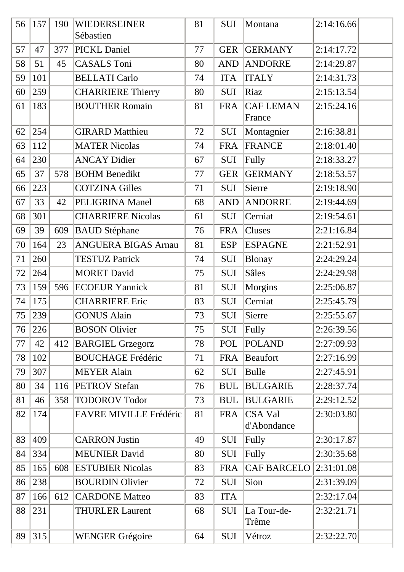| 56 | 157 | 190 | <b>WIEDERSEINER</b><br>Sébastien | 81 | <b>SUI</b> | Montana                       | 2:14:16.66 |
|----|-----|-----|----------------------------------|----|------------|-------------------------------|------------|
| 57 | 47  | 377 | <b>PICKL Daniel</b>              | 77 | <b>GER</b> | <b>GERMANY</b>                | 2:14:17.72 |
| 58 | 51  | 45  | <b>CASALS Toni</b>               | 80 | <b>AND</b> | <b>ANDORRE</b>                | 2:14:29.87 |
| 59 | 101 |     | <b>BELLATI Carlo</b>             | 74 | <b>ITA</b> | <b>ITALY</b>                  | 2:14:31.73 |
| 60 | 259 |     | <b>CHARRIERE Thierry</b>         | 80 | <b>SUI</b> | Riaz                          | 2:15:13.54 |
| 61 | 183 |     | <b>BOUTHER Romain</b>            | 81 | <b>FRA</b> | <b>CAF LEMAN</b><br>France    | 2:15:24.16 |
| 62 | 254 |     | <b>GIRARD Matthieu</b>           | 72 | <b>SUI</b> | Montagnier                    | 2:16:38.81 |
| 63 | 112 |     | <b>MATER Nicolas</b>             | 74 | <b>FRA</b> | <b>FRANCE</b>                 | 2:18:01.40 |
| 64 | 230 |     | <b>ANCAY Didier</b>              | 67 | SUI        | Fully                         | 2:18:33.27 |
| 65 | 37  | 578 | <b>BOHM Benedikt</b>             | 77 | <b>GER</b> | <b>GERMANY</b>                | 2:18:53.57 |
| 66 | 223 |     | <b>COTZINA Gilles</b>            | 71 | <b>SUI</b> | Sierre                        | 2:19:18.90 |
| 67 | 33  | 42  | <b>PELIGRINA Manel</b>           | 68 | <b>AND</b> | <b>ANDORRE</b>                | 2:19:44.69 |
| 68 | 301 |     | <b>CHARRIERE Nicolas</b>         | 61 | <b>SUI</b> | Cerniat                       | 2:19:54.61 |
| 69 | 39  | 609 | <b>BAUD Stéphane</b>             | 76 | <b>FRA</b> | Cluses                        | 2:21:16.84 |
| 70 | 164 | 23  | <b>ANGUERA BIGAS Arnau</b>       | 81 | <b>ESP</b> | <b>ESPAGNE</b>                | 2:21:52.91 |
| 71 | 260 |     | <b>TESTUZ Patrick</b>            | 74 | <b>SUI</b> | <b>Blonay</b>                 | 2:24:29.24 |
| 72 | 264 |     | <b>MORET David</b>               | 75 | <b>SUI</b> | Sâles                         | 2:24:29.98 |
| 73 | 159 | 596 | <b>ECOEUR Yannick</b>            | 81 | <b>SUI</b> | Morgins                       | 2:25:06.87 |
| 74 | 175 |     | <b>CHARRIERE Eric</b>            | 83 | <b>SUI</b> | Cerniat                       | 2:25:45.79 |
| 75 | 239 |     | <b>GONUS Alain</b>               | 73 | <b>SUI</b> | Sierre                        | 2:25:55.67 |
| 76 | 226 |     | <b>BOSON Olivier</b>             | 75 | <b>SUI</b> | Fully                         | 2:26:39.56 |
| 77 | 42  | 412 | <b>BARGIEL Grzegorz</b>          | 78 | POL        | <b>POLAND</b>                 | 2:27:09.93 |
| 78 | 102 |     | <b>BOUCHAGE Frédéric</b>         | 71 | <b>FRA</b> | Beaufort                      | 2:27:16.99 |
| 79 | 307 |     | <b>MEYER Alain</b>               | 62 | <b>SUI</b> | <b>Bulle</b>                  | 2:27:45.91 |
| 80 | 34  | 116 | <b>PETROV</b> Stefan             | 76 | <b>BUL</b> | <b>BULGARIE</b>               | 2:28:37.74 |
| 81 | 46  | 358 | <b>TODOROV Todor</b>             | 73 | <b>BUL</b> | <b>BULGARIE</b>               | 2:29:12.52 |
| 82 | 174 |     | FAVRE MIVILLE Frédéric           | 81 | <b>FRA</b> | <b>CSA Val</b><br>d'Abondance | 2:30:03.80 |
| 83 | 409 |     | <b>CARRON Justin</b>             | 49 | SUI        | Fully                         | 2:30:17.87 |
| 84 | 334 |     | <b>MEUNIER David</b>             | 80 | SUI        | Fully                         | 2:30:35.68 |
| 85 | 165 | 608 | <b>ESTUBIER Nicolas</b>          | 83 | <b>FRA</b> | <b>CAF BARCELO</b>            | 2:31:01.08 |
| 86 | 238 |     | <b>BOURDIN Olivier</b>           | 72 | <b>SUI</b> | Sion                          | 2:31:39.09 |
| 87 | 166 | 612 | <b>CARDONE</b> Matteo            | 83 | <b>ITA</b> |                               | 2:32:17.04 |
| 88 | 231 |     | <b>THURLER Laurent</b>           | 68 | <b>SUI</b> | La Tour-de-<br>Trême          | 2:32:21.71 |
| 89 | 315 |     | <b>WENGER Grégoire</b>           | 64 | SUI        | Vétroz                        | 2:32:22.70 |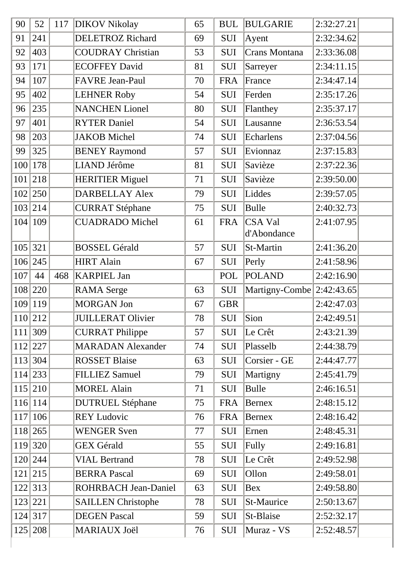| 90  | 52            | 117 | <b>DIKOV</b> Nikolay        | 65 | <b>BUL</b> | <b>BULGARIE</b>   | 2:32:27.21 |
|-----|---------------|-----|-----------------------------|----|------------|-------------------|------------|
| 91  | 241           |     | <b>DELETROZ Richard</b>     | 69 | SUI        | Ayent             | 2:32:34.62 |
| 92  | 403           |     | <b>COUDRAY Christian</b>    | 53 | <b>SUI</b> | Crans Montana     | 2:33:36.08 |
| 93  | 171           |     | <b>ECOFFEY David</b>        | 81 | <b>SUI</b> | Sarreyer          | 2:34:11.15 |
| 94  | 107           |     | <b>FAVRE Jean-Paul</b>      | 70 | <b>FRA</b> | France            | 2:34:47.14 |
| 95  | 402           |     | <b>LEHNER Roby</b>          | 54 | <b>SUI</b> | Ferden            | 2:35:17.26 |
| 96  | 235           |     | <b>NANCHEN Lionel</b>       | 80 | <b>SUI</b> | Flanthey          | 2:35:37.17 |
| 97  | 401           |     | <b>RYTER Daniel</b>         | 54 | <b>SUI</b> | Lausanne          | 2:36:53.54 |
| 98  | 203           |     | <b>JAKOB</b> Michel         | 74 | <b>SUI</b> | Echarlens         | 2:37:04.56 |
| 99  | 325           |     | <b>BENEY Raymond</b>        | 57 | SUI        | Evionnaz          | 2:37:15.83 |
| 100 | 178           |     | <b>LIAND Jérôme</b>         | 81 | SUI        | Savièze           | 2:37:22.36 |
| 101 | 218           |     | <b>HERITIER Miguel</b>      | 71 | SUI        | Savièze           | 2:39:50.00 |
| 102 | 250           |     | DARBELLAY Alex              | 79 | SUI        | Liddes            | 2:39:57.05 |
| 103 | 214           |     | <b>CURRAT Stéphane</b>      | 75 | <b>SUI</b> | <b>Bulle</b>      | 2:40:32.73 |
| 104 | 109           |     | <b>CUADRADO Michel</b>      | 61 | <b>FRA</b> | <b>CSA Val</b>    | 2:41:07.95 |
|     |               |     |                             |    |            | d'Abondance       |            |
| 105 | 321           |     | <b>BOSSEL Gérald</b>        | 57 | <b>SUI</b> | St-Martin         | 2:41:36.20 |
| 106 | 245           |     | <b>HIRT</b> Alain           | 67 | <b>SUI</b> | Perly             | 2:41:58.96 |
| 107 | 44            | 468 | <b>KARPIEL Jan</b>          |    | <b>POL</b> | <b>POLAND</b>     | 2:42:16.90 |
| 108 | 220           |     | <b>RAMA</b> Serge           | 63 | <b>SUI</b> | Martigny-Combe    | 2:42:43.65 |
| 109 | 119           |     | <b>MORGAN Jon</b>           | 67 | <b>GBR</b> |                   | 2:42:47.03 |
|     | 110 212       |     | <b>JUILLERAT Olivier</b>    | 78 | <b>SUI</b> | Sion              | 2:42:49.51 |
| 111 | $ 309\rangle$ |     | <b>CURRAT Philippe</b>      | 57 | <b>SUI</b> | Le Crêt           | 2:43:21.39 |
| 112 | 227           |     | <b>MARADAN Alexander</b>    | 74 | <b>SUI</b> | Plasselb          | 2:44:38.79 |
|     | 113 304       |     | <b>ROSSET Blaise</b>        | 63 | <b>SUI</b> | Corsier - GE      | 2:44:47.77 |
|     | 114 233       |     | <b>FILLIEZ Samuel</b>       | 79 | <b>SUI</b> | Martigny          | 2:45:41.79 |
|     | 115 210       |     | <b>MOREL Alain</b>          | 71 | <b>SUI</b> | <b>Bulle</b>      | 2:46:16.51 |
|     | 116 114       |     | <b>DUTRUEL Stéphane</b>     | 75 | <b>FRA</b> | Bernex            | 2:48:15.12 |
| 117 | $\vert$ 106   |     | <b>REY Ludovic</b>          | 76 | <b>FRA</b> | Bernex            | 2:48:16.42 |
| 118 | 265           |     | <b>WENGER Sven</b>          | 77 | <b>SUI</b> | Ernen             | 2:48:45.31 |
|     | 119 320       |     | <b>GEX Gérald</b>           | 55 | <b>SUI</b> | Fully             | 2:49:16.81 |
|     | 120 244       |     | <b>VIAL Bertrand</b>        | 78 | <b>SUI</b> | Le Crêt           | 2:49:52.98 |
| 121 | $ 215\rangle$ |     | <b>BERRA Pascal</b>         | 69 | <b>SUI</b> | Ollon             | 2:49:58.01 |
|     | 122 313       |     | <b>ROHRBACH Jean-Daniel</b> | 63 | <b>SUI</b> | Bex               | 2:49:58.80 |
|     | 123 221       |     | <b>SAILLEN</b> Christophe   | 78 | <b>SUI</b> | <b>St-Maurice</b> | 2:50:13.67 |
|     | 124 317       |     | <b>DEGEN Pascal</b>         | 59 | <b>SUI</b> | St-Blaise         | 2:52:32.17 |
|     | 125 208       |     | MARIAUX Joël                | 76 | SUI        | Muraz - VS        | 2:52:48.57 |
|     |               |     |                             |    |            |                   |            |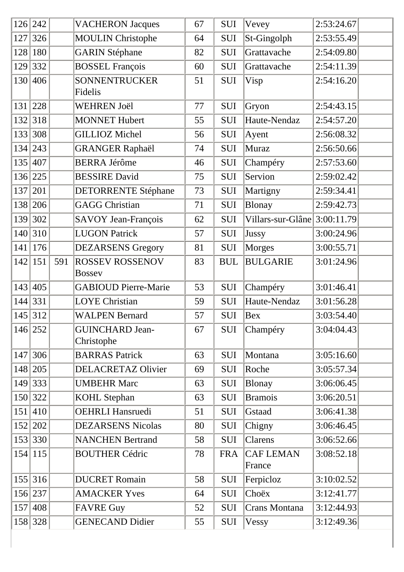| 126 | 242           |     | <b>VACHERON Jacques</b>                 | 67 | <b>SUI</b> | Vevey                      | 2:53:24.67 |
|-----|---------------|-----|-----------------------------------------|----|------------|----------------------------|------------|
| 127 | 326           |     | <b>MOULIN Christophe</b>                | 64 | <b>SUI</b> | St-Gingolph                | 2:53:55.49 |
| 128 | 180           |     | <b>GARIN Stéphane</b>                   | 82 | <b>SUI</b> | Grattavache                | 2:54:09.80 |
| 129 | 332           |     | <b>BOSSEL François</b>                  | 60 | <b>SUI</b> | Grattavache                | 2:54:11.39 |
|     | 130 406       |     | SONNENTRUCKER<br>Fidelis                | 51 | <b>SUI</b> | Visp                       | 2:54:16.20 |
| 131 | 228           |     | <b>WEHREN Joël</b>                      | 77 | <b>SUI</b> | Gryon                      | 2:54:43.15 |
| 132 | 318           |     | <b>MONNET Hubert</b>                    | 55 | <b>SUI</b> | Haute-Nendaz               | 2:54:57.20 |
| 133 | 308           |     | <b>GILLIOZ Michel</b>                   | 56 | SUI        | Ayent                      | 2:56:08.32 |
| 134 | 243           |     | <b>GRANGER Raphaël</b>                  | 74 | <b>SUI</b> | <b>Muraz</b>               | 2:56:50.66 |
| 135 | 407           |     | <b>BERRA Jérôme</b>                     | 46 | SUI        | Champéry                   | 2:57:53.60 |
| 136 | 225           |     | <b>BESSIRE David</b>                    | 75 | <b>SUI</b> | Servion                    | 2:59:02.42 |
| 137 | 201           |     | <b>DETORRENTE Stéphane</b>              | 73 | <b>SUI</b> | Martigny                   | 2:59:34.41 |
| 138 | 206           |     | <b>GAGG Christian</b>                   | 71 | <b>SUI</b> | Blonay                     | 2:59:42.73 |
| 139 | $ 302\rangle$ |     | <b>SAVOY Jean-François</b>              | 62 | <b>SUI</b> | Villars-sur-Glâne          | 3:00:11.79 |
| 140 | 310           |     | <b>LUGON Patrick</b>                    | 57 | <b>SUI</b> | Jussy                      | 3:00:24.96 |
| 141 | 176           |     | <b>DEZARSENS</b> Gregory                | 81 | <b>SUI</b> | Morges                     | 3:00:55.71 |
| 142 | 151           | 591 | <b>ROSSEV ROSSENOV</b><br><b>Bossey</b> | 83 | <b>BUL</b> | <b>BULGARIE</b>            | 3:01:24.96 |
| 143 | 405           |     | <b>GABIOUD Pierre-Marie</b>             | 53 | SUI        | Champéry                   | 3:01:46.41 |
| 144 | 331           |     | <b>LOYE Christian</b>                   | 59 | <b>SUI</b> | Haute-Nendaz               | 3:01:56.28 |
|     | 145 312       |     | <b>WALPEN Bernard</b>                   | 57 | <b>SUI</b> | Bex                        | 3:03:54.40 |
|     | 146 252       |     | <b>GUINCHARD Jean-</b><br>Christophe    | 67 | <b>SUI</b> | Champéry                   | 3:04:04.43 |
| 147 | 306           |     | <b>BARRAS Patrick</b>                   | 63 | <b>SUI</b> | Montana                    | 3:05:16.60 |
|     | 148 205       |     | <b>DELACRETAZ Olivier</b>               | 69 | <b>SUI</b> | Roche                      | 3:05:57.34 |
|     | 149 333       |     | <b>UMBEHR Marc</b>                      | 63 | <b>SUI</b> | <b>Blonay</b>              | 3:06:06.45 |
|     | 150 322       |     | <b>KOHL</b> Stephan                     | 63 | <b>SUI</b> | <b>Bramois</b>             | 3:06:20.51 |
| 151 | 410           |     | <b>OEHRLI Hansruedi</b>                 | 51 | <b>SUI</b> | Gstaad                     | 3:06:41.38 |
| 152 | 202           |     | <b>DEZARSENS Nicolas</b>                | 80 | SUI        | Chigny                     | 3:06:46.45 |
|     | 153 330       |     | <b>NANCHEN Bertrand</b>                 | 58 | SUI        | Clarens                    | 3:06:52.66 |
|     | 154 115       |     | <b>BOUTHER Cédric</b>                   | 78 | <b>FRA</b> | <b>CAF LEMAN</b><br>France | 3:08:52.18 |
|     | 155 316       |     | <b>DUCRET Romain</b>                    | 58 | SUI        | Ferpicloz                  | 3:10:02.52 |
|     | 156 237       |     | <b>AMACKER Yves</b>                     | 64 | <b>SUI</b> | Choëx                      | 3:12:41.77 |
| 157 | 408           |     | <b>FAVRE Guy</b>                        | 52 | SUI        | Crans Montana              | 3:12:44.93 |
|     | 158 328       |     | <b>GENECAND Didier</b>                  | 55 | SUI        | <b>Vessy</b>               | 3:12:49.36 |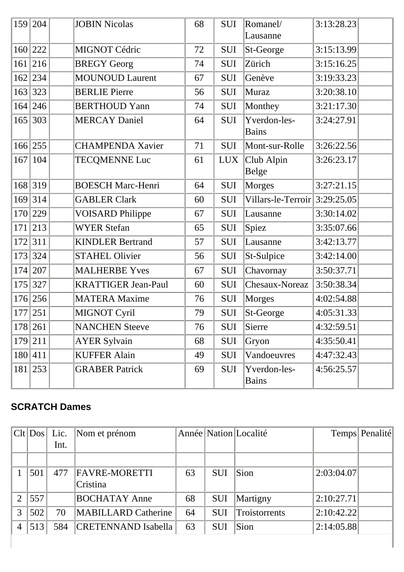|     | 159 204     | <b>JOBIN Nicolas</b>       | 68 | <b>SUI</b> | Romanel/<br>Lausanne         | 3:13:28.23 |  |
|-----|-------------|----------------------------|----|------------|------------------------------|------------|--|
| 160 | 222         | MIGNOT Cédric              | 72 | <b>SUI</b> | St-George                    | 3:15:13.99 |  |
| 161 | 216         | <b>BREGY Georg</b>         | 74 | <b>SUI</b> | Zürich                       | 3:15:16.25 |  |
| 162 | 234         | <b>MOUNOUD Laurent</b>     | 67 | <b>SUI</b> | Genève                       | 3:19:33.23 |  |
| 163 | 323         | <b>BERLIE Pierre</b>       | 56 | <b>SUI</b> | Muraz                        | 3:20:38.10 |  |
| 164 | 246         | <b>BERTHOUD Yann</b>       | 74 | <b>SUI</b> | Monthey                      | 3:21:17.30 |  |
|     | 165 303     | <b>MERCAY Daniel</b>       | 64 | <b>SUI</b> | Yverdon-les-<br><b>Bains</b> | 3:24:27.91 |  |
|     | 166 255     | <b>CHAMPENDA Xavier</b>    | 71 | <b>SUI</b> | Mont-sur-Rolle               | 3:26:22.56 |  |
| 167 | $\vert 104$ | <b>TECQMENNE Luc</b>       | 61 | <b>LUX</b> | Club Alpin<br>Belge          | 3:26:23.17 |  |
|     | 168 319     | <b>BOESCH Marc-Henri</b>   | 64 | <b>SUI</b> | <b>Morges</b>                | 3:27:21.15 |  |
| 169 | 314         | <b>GABLER Clark</b>        | 60 | <b>SUI</b> | Villars-le-Terroir           | 3:29:25.05 |  |
| 170 | 229         | <b>VOISARD Philippe</b>    | 67 | <b>SUI</b> | Lausanne                     | 3:30:14.02 |  |
| 171 | 213         | <b>WYER Stefan</b>         | 65 | <b>SUI</b> | Spiez                        | 3:35:07.66 |  |
| 172 | 311         | <b>KINDLER Bertrand</b>    | 57 | <b>SUI</b> | Lausanne                     | 3:42:13.77 |  |
| 173 | 324         | <b>STAHEL Olivier</b>      | 56 | SUI        | St-Sulpice                   | 3:42:14.00 |  |
| 174 | 207         | <b>MALHERBE Yves</b>       | 67 | SUI        | Chavornay                    | 3:50:37.71 |  |
| 175 | 327         | <b>KRATTIGER Jean-Paul</b> | 60 | <b>SUI</b> | <b>Chesaux-Noreaz</b>        | 3:50:38.34 |  |
|     | 176 256     | <b>MATERA Maxime</b>       | 76 | <b>SUI</b> | <b>Morges</b>                | 4:02:54.88 |  |
| 177 | 251         | MIGNOT Cyril               | 79 | <b>SUI</b> | St-George                    | 4:05:31.33 |  |
|     | 178 261     | <b>NANCHEN Steeve</b>      | 76 | SUI        | Sierre                       | 4:32:59.51 |  |
|     | 179 211     | <b>AYER Sylvain</b>        | 68 | SUI        | Gryon                        | 4:35:50.41 |  |
|     | 180 411     | <b>KUFFER Alain</b>        | 49 | <b>SUI</b> | Vandoeuvres                  | 4:47:32.43 |  |
|     | 181 253     | <b>GRABER Patrick</b>      | 69 | SUI        | Yverdon-les-<br><b>Bains</b> | 4:56:25.57 |  |

### **SCRATCH Dames**

|                             | $ Clt $ Dos | Lic. | Nom et prénom              |    |            | Année   Nation   Localité |            | Temps Penalité |
|-----------------------------|-------------|------|----------------------------|----|------------|---------------------------|------------|----------------|
|                             |             | Int. |                            |    |            |                           |            |                |
|                             |             |      |                            |    |            |                           |            |                |
|                             | 501         | 477  | <b>FAVRE-MORETTI</b>       | 63 | <b>SUI</b> | Sion                      | 2:03:04.07 |                |
|                             |             |      | Cristina                   |    |            |                           |            |                |
| $\mathcal{D}_{\mathcal{L}}$ | 557         |      | <b>BOCHATAY Anne</b>       | 68 | <b>SUI</b> | Martigny                  | 2:10:27.71 |                |
| 3                           | 502         | 70   | MABILLARD Catherine        | 64 | <b>SUI</b> | Troistorrents             | 2:10:42.22 |                |
| 4                           | 513         | 584  | <b>CRETENNAND</b> Isabella | 63 | <b>SUI</b> | Sion                      | 2:14:05.88 |                |